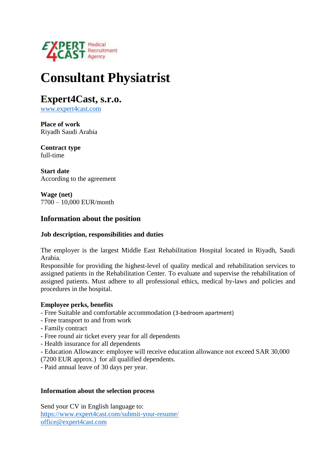

# **Consultant Physiatrist**

**Expert4Cast, s.r.o.**

[www.expert4cast.com](http://www.expert4cast.com/)

**Place of work** Riyadh Saudi Arabia

**Contract type** full-time

**Start date** According to the agreement

**Wage (net)** 7700 – 10,000 EUR/month

# **Information about the position**

## **Job description, responsibilities and duties**

The employer is the largest Middle East Rehabilitation Hospital located in Riyadh, Saudi Arabia.

Responsible for providing the highest-level of quality medical and rehabilitation services to assigned patients in the Rehabilitation Center. To evaluate and supervise the rehabilitation of assigned patients. Must adhere to all professional ethics, medical by-laws and policies and procedures in the hospital.

### **Employee perks, benefits**

- Free Suitable and comfortable accommodation (3-bedroom apartment)
- Free transport to and from work
- Family contract
- Free round air ticket every year for all dependents
- Health insurance for all dependents
- Education Allowance: employee will receive education allowance not exceed SAR 30,000
- (7200 EUR approx.) for all qualified dependents.
- Paid annual leave of 30 days per year.

#### **Information about the selection process**

Send your CV in English language to: <https://www.expert4cast.com/submit-your-resume/> [office@expert4cast.com](mailto:office@expert4cast.com)